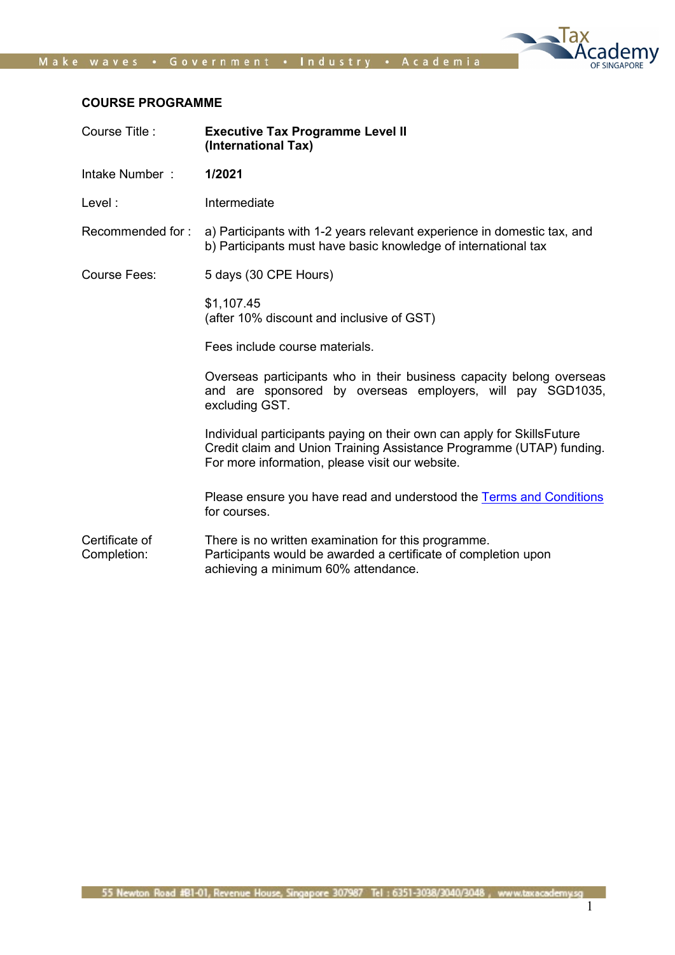

### COURSE PROGRAMME

| Course Title:                 | <b>Executive Tax Programme Level II</b><br>(International Tax)                                                                                                                                    |
|-------------------------------|---------------------------------------------------------------------------------------------------------------------------------------------------------------------------------------------------|
| Intake Number:                | 1/2021                                                                                                                                                                                            |
| Level:                        | Intermediate                                                                                                                                                                                      |
| Recommended for:              | a) Participants with 1-2 years relevant experience in domestic tax, and<br>b) Participants must have basic knowledge of international tax                                                         |
| <b>Course Fees:</b>           | 5 days (30 CPE Hours)                                                                                                                                                                             |
|                               | \$1,107.45<br>(after 10% discount and inclusive of GST)                                                                                                                                           |
|                               | Fees include course materials.                                                                                                                                                                    |
|                               | Overseas participants who in their business capacity belong overseas<br>and are sponsored by overseas employers, will pay SGD1035,<br>excluding GST.                                              |
|                               | Individual participants paying on their own can apply for SkillsFuture<br>Credit claim and Union Training Assistance Programme (UTAP) funding.<br>For more information, please visit our website. |
|                               | Please ensure you have read and understood the Terms and Conditions<br>for courses.                                                                                                               |
| Certificate of<br>Completion: | There is no written examination for this programme.<br>Participants would be awarded a certificate of completion upon<br>achieving a minimum 60% attendance.                                      |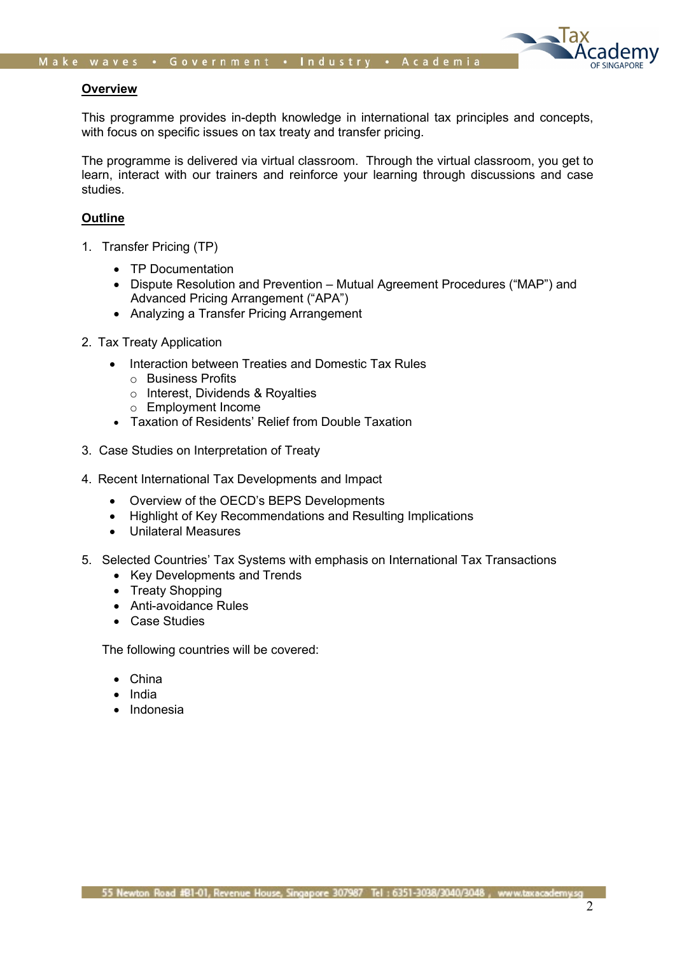

### **Overview**

This programme provides in-depth knowledge in international tax principles and concepts, with focus on specific issues on tax treaty and transfer pricing.

The programme is delivered via virtual classroom. Through the virtual classroom, you get to learn, interact with our trainers and reinforce your learning through discussions and case studies.

# **Outline**

- 1. Transfer Pricing (TP)
	- TP Documentation
	- Dispute Resolution and Prevention Mutual Agreement Procedures ("MAP") and Advanced Pricing Arrangement ("APA")
	- Analyzing a Transfer Pricing Arrangement
- 2. Tax Treaty Application
	- Interaction between Treaties and Domestic Tax Rules
		- o Business Profits
		- o Interest, Dividends & Royalties
		- o Employment Income
	- Taxation of Residents' Relief from Double Taxation
- 3. Case Studies on Interpretation of Treaty
- 4. Recent International Tax Developments and Impact
	- Overview of the OECD's BEPS Developments
	- Highlight of Key Recommendations and Resulting Implications
	- Unilateral Measures
- 5. Selected Countries' Tax Systems with emphasis on International Tax Transactions
	- Key Developments and Trends
	- Treaty Shopping
	- Anti-avoidance Rules
	- Case Studies

The following countries will be covered:

- China
- India
- Indonesia